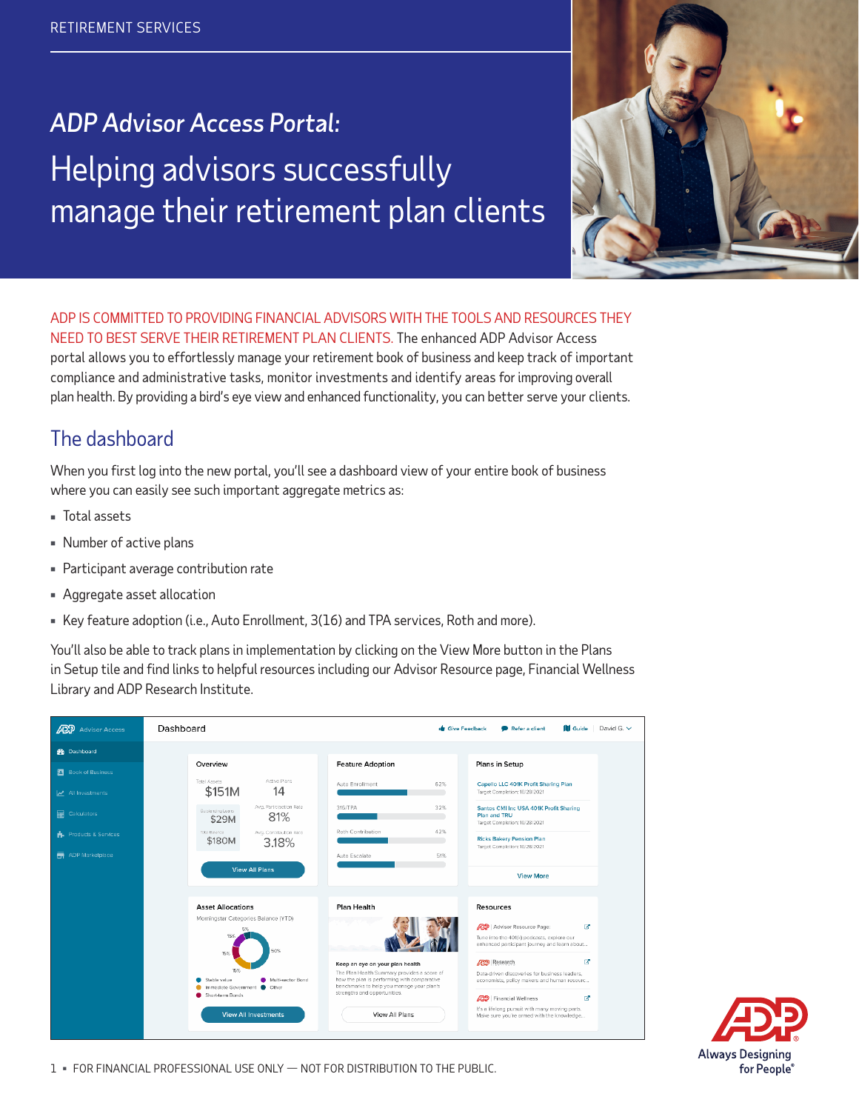# *ADP Advisor Access Portal:* Helping advisors successfully manage their retirement plan clients



ADP IS COMMITTED TO PROVIDING FINANCIAL ADVISORS WITH THE TOOLS AND RESOURCES THEY NEED TO BEST SERVE THEIR RETIREMENT PLAN CLIENTS. The enhanced ADP Advisor Access portal allows you to effortlessly manage your retirement book of business and keep track of important compliance and administrative tasks, monitor investments and identify areas for improving overall plan health. By providing a bird's eye view and enhanced functionality, you can better serve your clients.

## The dashboard

When you first log into the new portal, you'll see a dashboard view of your entire book of business where you can easily see such important aggregate metrics as:

- Total assets
- Number of active plans
- Participant average contribution rate
- Aggregate asset allocation
- Key feature adoption (i.e., Auto Enrollment, 3(16) and TPA services, Roth and more).

You'll also be able to track plans in implementation by clicking on the View More button in the Plans in Setup tile and find links to helpful resources including our Advisor Resource page, Financial Wellness Library and ADP Research Institute.

| <b>ADD</b> Advisor Access  | Dashboard                                                                                    |                                                                                                                                                                                                            | <b>de</b> Give Feedback<br>David G. $\vee$<br>Refer a client<br><b>III</b> Guide                                                                                 |
|----------------------------|----------------------------------------------------------------------------------------------|------------------------------------------------------------------------------------------------------------------------------------------------------------------------------------------------------------|------------------------------------------------------------------------------------------------------------------------------------------------------------------|
| <b>R</b> Dashboard         |                                                                                              |                                                                                                                                                                                                            |                                                                                                                                                                  |
| <b>El</b> Book of Business | Overview                                                                                     | <b>Feature Adoption</b>                                                                                                                                                                                    | Plans in Setup                                                                                                                                                   |
| All Investments            | Active Plans<br>Total Assets<br>\$151M<br>14                                                 | 62%<br>Auto Enrollment                                                                                                                                                                                     | Capello LLC 401K Profit Sharing Plan<br>Target Completion: 10/28/2021                                                                                            |
| <b>Em</b> Calculators      | Avg. Participation Rate<br>Outstanding Loans<br>81%<br>\$29M                                 | 316/TPA<br>32%                                                                                                                                                                                             | Santos CMI Inc USA 401K Profit Sharing<br>Plan and TRU<br>Target Completion: 10/28/2021                                                                          |
| Products & Services        | Total Balance<br>Avg. Contribution Rate<br>\$180M<br>3.18%                                   | Roth Contribution<br>42%                                                                                                                                                                                   | <b>Ricks Bakery Pension Plan</b>                                                                                                                                 |
| ADP Marketplace<br>帚       |                                                                                              | 51%<br>Auto Escalate                                                                                                                                                                                       | Target Completion: 10/28/2021                                                                                                                                    |
|                            | <b>View All Plans</b>                                                                        |                                                                                                                                                                                                            | <b>View More</b>                                                                                                                                                 |
|                            | <b>Asset Allocations</b>                                                                     | <b>Plan Health</b>                                                                                                                                                                                         | Resources                                                                                                                                                        |
|                            | Morningstar Categories Balance (YTD)<br>ES:<br>15%<br>50%<br>15%                             |                                                                                                                                                                                                            | ₫<br>Advisor Resource Page:<br>Tune into the 401(k) podcasts, explore our<br>enhanced participant journey and learn about                                        |
|                            | 15%<br>Multi-sector Bond<br>Stable value<br>Immediate Government C Other<br>Short-term Bonds | Keep an eye on your plan health<br>The Plan Health Summary provides a score of<br>how the plan is performing with comparative<br>benchmarks to help you manage your plan's<br>strengths and opportunities. | ø<br><b>ADD</b> Research<br>Data-driven discoveries for business leaders.<br>economists, policy makers and human resourc<br>œ<br><b>259</b>   Financial Wellness |
|                            | <b>View All Investments</b>                                                                  | View All Plans                                                                                                                                                                                             | It's a lifelong pursuit with many moving parts.<br>Make sure you're armed with the knowledge                                                                     |

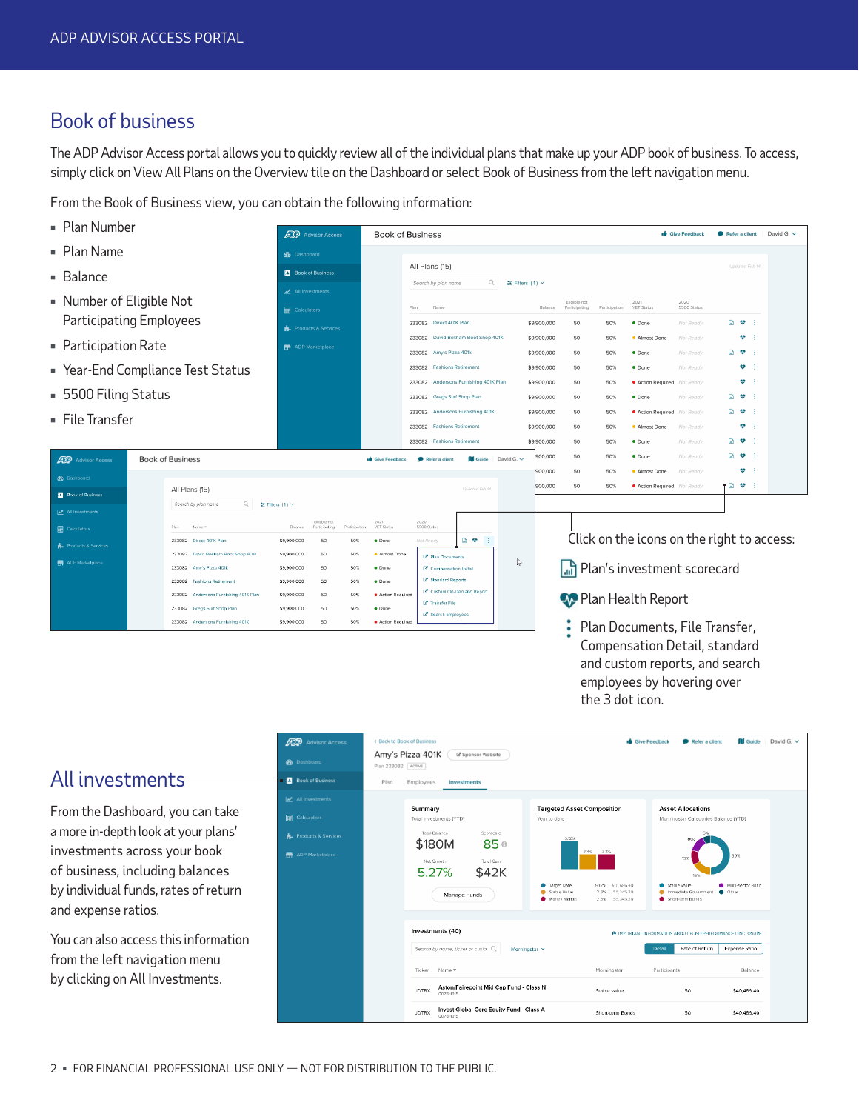### Book of business

The ADP Advisor Access portal allows you to quickly review all of the individual plans that make up your ADP book of business. To access, simply click on View All Plans on the Overview tile on the Dashboard or select Book of Business from the left navigation menu.

From the Book of Business view, you can obtain the following information:

- Plan Number Give Feedback  $\qquad \qquad \bullet$  Refer a client | David G.  $\vee$ **ADP** Advisor Access **Book of Business**  Plan Name *S* Dashboard All Plans (15) **B** Book of Business ■ Balance  $Q_i$  = Filters (1)  $\sim$ Search by plan name All Investments Number of Eligible Not Eligible not 2021<br>Balance Participating Participation YET Status 2020<br>5500 Status  $\overline{\mathbf{H}}$  Calculators Plan Name Participating Employees 233082 Direct 401K Plan \$9,900,000 50% · Done Not Ready  $B \bullet 1$ 50 Products & Services 233082 David Bekham Boot Shop 401K \$9,900,000 50 50% **Almost Done** Not Ready  $\phi$  : Participation Rate ADP Marketniace 233082 Amy's Pizza 401k \$9,900,000 50 50% · Done  $\begin{bmatrix} 1 & 0 \\ 0 & 1 \end{bmatrix}$  Year-End Compliance Test Status 233082 Fashions Retirement \$9,900,000 50 50% · Done Not Ready  $\Psi$  . <br> <br> <br> <br> <br> <br> 233082 Andersons Furnishing 401K Plan \$9,900,000 50 50% **Action Required** Not Ready  $\Psi = \frac{1}{2}$ **5500 Filing Status** 233082 Gregs Surf Shop Plan \$9,900,000 50 50% Not Ready  $\begin{bmatrix} 1 & \Phi & 1 \\ 0 & \Phi & 1 \end{bmatrix}$ 233082 Andersons Furnishing 401K  $\begin{bmatrix} 1 & \Phi & 1 \\ 0 & \Phi & 1 \end{bmatrix}$ \$9,900,000 50 50% **Action Required** Not Ready File Transfer 233082 Fashions Retirement \$9,900,000  $\Psi$  . <br> : 50 50% **Almost Done** Not Ready 233082 Fashions Retirement \$9,900,000 50 50% · Done Not Ready  $\Box \bullet$ · Done Not Ready  $\Box \bullet \bullet$  : 900,000 50 50% **Book of Business** Refer a client  $\Box$  Guide | David G.  $\lor$ **ADP** Advisor Acces Give Feedback 00,000 50 50% **Almost Done** Not Ready  $\mathbf{w}$  : **B** Dashboard ● 図 や 日 0,000 50 50% **Action Required** Not Ready All Plans (15) **E** Book of Business Search by plan name  $Q = \pm$  Filters (1)  $\vee$ Eligible not<br>Belence Participating 2021<br>YET Status 2020<br>5500 Status Name =  $\mathbf{H}$  Cale Click on the icons on the right to access: 233082 Direct 401K Plan  $50\%$  $\bullet$  Done  $D \bullet 1$ \$9,900,000 50 233082 David Bekham Boot Shop 401K \$9,900,000 50 50% · Almost Done Plan Documents  $\mathbb{P}$ 233082 Amy's Pizza 401k \$9,900,000  $50\%$  $\bullet$  Done C<sup>\*</sup> Compensation Detail Plan's investment scorecard \$9,900,000 Standard Reports 233082 Fashions Petirement  $50 - 50$ 50% · Done C<sup>\*</sup> Custom On-Demand R 233082 Andersons Furnishing 401K Plan \$9,900,000 50 50% · Action Required **Plan Health Report** C<sup>a</sup> Transfer File 233082 Gregs Surf Shop Plan \$9,900,000  $50$ 50%  $\bullet$  Done Search Emplo 233082 Andersons Furnishing 401K \$9,900,000  $50<sub>1</sub>$ 50% · Action Re ፡ Plan Documents, File Transfer,
	- Compensation Detail, standard and custom reports, and search employees by hovering over the 3 dot icon.

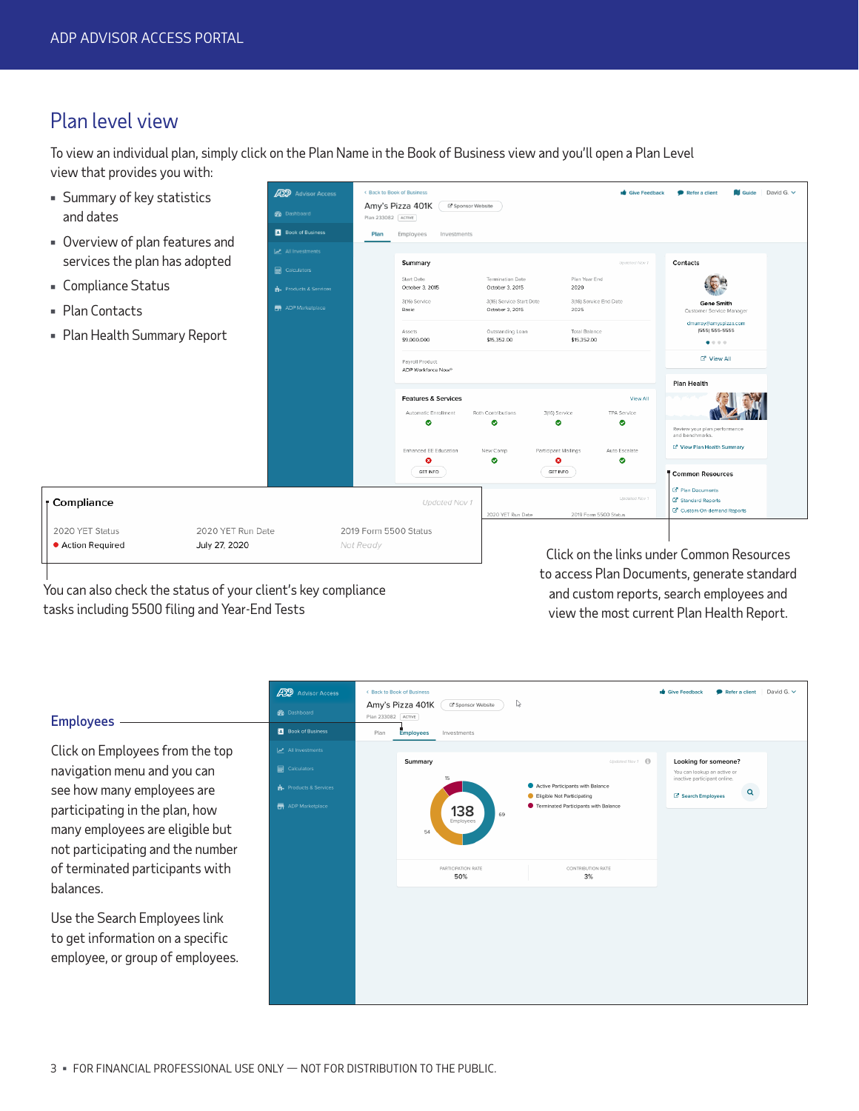### Plan level view

To view an individual plan, simply click on the Plan Name in the Book of Business view and you'll open a Plan Level view that provides you with:



You can also check the status of your client's key compliance tasks including 5500 filing and Year-End Tests

to access Plan Documents, generate standard and custom reports, search employees and view the most current Plan Health Report.

#### **ADP** Advisor Acces < Back to Book of Busin  $\bullet$  Give Feedback Refer a client David G.  $\vee$ Amy's Pizza 401K (B Sponsor Website ) Plan 233082 ACTIVE Employees **B**ook of Business Employees Investments Dian Click on Employees from the top Summary  $d$ Nov  $f$  **G** Looking for someone?  $\blacksquare$ navigation menu and you can You can lookup an active or<br>inactive participant online. Active Participants with Balance see how many employees are a.  $\mathbf{Q}$ Eligible Not Participating **CA** Search Employees participating in the plan, how ÷ Terminated Participants with Balance 138 many employees are eligible but not participating and the number of terminated participants with CONTRIBUTION RATE 50%  $3%$ balances. Use the Search Employees link to get information on a specific employee, or group of employees.